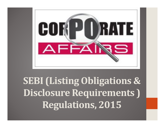

**SEBI (Listing Obligations & Disclosure Requirements )Regulations, 2015**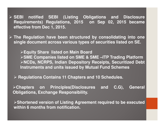**SEBI notified SEBI (Listing Obligations and Disclosure Requirements) Regulations, 2015 on Sep 02, 2015 becameeffective from Dec 1, 2015.**

 **The Regulation have been structured by consolidating into one single document across various types of securities listed on SE.**

**Equity Share listed on Main Board SME Companies listed on SME & SME –ITP Trading PlatformNCDs, NCRPS, Indian Depository Receipts, Securitized Debt Instruments and units issued by Mutual Fund Schemes**

**Regulations Contains <sup>11</sup> Chapters and <sup>10</sup> Schedules.**

**Chapters on Principles(Disclosures and C.G), General Obligations, Exchange Responsibility.**

**Shortened version of Listing Agreement required to be executedwithin 6 months from notification.**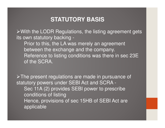### **STATUTORY BASIS**

With the LODR Regulations, the listing agreement gets its own statutory backing -

 Prior to this, the LA was merely an agreement between the exchange and the company.Reference to listing conditions was there in sec 23E of the SCRA.

> The present regulations are made in pursuance of statutory powers under SEBI Act and SCRA - Sec 11A (2) provides SEBI power to prescribe conditions of listing Hence, provisions of sec 15HB of SEBI Act are applicable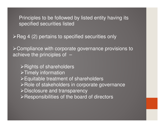Principles to be followed by listed entity having its specified securities listed

 $\triangleright$  Reg 4 (2) pertains to specified securities only

Compliance with corporate governance provisions to achieve the principles of –

 $\triangleright$  Rights of shareholders  $\triangleright$  Timely information Equitable treatment of shareholders $\triangleright$  Role of stakeholders in corporate governance Disclosure and transparency $\triangleright$ Responsibilities of the board of directors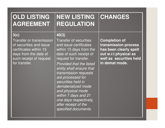| <b>OLD LISTING</b><br><b>AGREEMENT</b>                                                                                                                            | <b>NEW LISTING</b><br><b>REGULATION</b>                                                                                                                                                                                                                                                                                                                                                                                          | CHANGES                                                                                                                                      |
|-------------------------------------------------------------------------------------------------------------------------------------------------------------------|----------------------------------------------------------------------------------------------------------------------------------------------------------------------------------------------------------------------------------------------------------------------------------------------------------------------------------------------------------------------------------------------------------------------------------|----------------------------------------------------------------------------------------------------------------------------------------------|
| 3(c)<br><b>Transfer or transmission</b><br>of securities and issue<br>certificates within 15<br>days from the date of<br>such receipt of request<br>for transfer. | 40(3)<br><b>Transfer of securities</b><br>and issue certificates<br>within 15 days from the<br>date of such receipt of<br>request for transfer.<br><b>Provided that the listed</b><br>entity shall ensure that<br>transmission requests<br>are processed for<br>securities held in<br>dematerialized mode<br>and physical mode<br>within 7 days and 21<br>one days respectively,<br>after receipt of the<br>specified documents. | <b>Completion of</b><br>transmission process<br>has been clearly spelt<br>out w.r.t physical as<br>well as securities held<br>in demat mode. |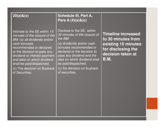| $20(a)$ & $(c)$                                                                                                                                                                                                                                                                                                     | <b>Schedule III, Part A,</b><br>Para A (4)(a)&(c)                                                                                                                                                                                                                                                   |                                                                                                                                  |
|---------------------------------------------------------------------------------------------------------------------------------------------------------------------------------------------------------------------------------------------------------------------------------------------------------------------|-----------------------------------------------------------------------------------------------------------------------------------------------------------------------------------------------------------------------------------------------------------------------------------------------------|----------------------------------------------------------------------------------------------------------------------------------|
| Intimate to the SE within 15<br>minutes of the closure of the<br>BM: (a) all dividends and/or<br>cash bonuses<br>recommended or declared<br>or the decision to pass any<br>dividend or interest payment<br>and date on which dividend<br>shall be paid/dispatched;<br>(c) The decision on Buyback<br>of Securities. | Disclose to the SE, within<br>30 minutes of the closure of<br>the $BM$ :<br>(a) dividends and/or cash<br>bonuses recommended or<br>declared or the decision to<br>pass any dividend and the<br>date on which dividend shall<br>be paid/dispatched;<br>(c) the decision on buyback<br>of securities. | <b>Timeline increased</b><br>to 30 minutes from<br>existing 15 minutes<br>for disclosing the<br>decision taken at<br><b>B.M.</b> |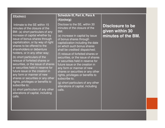#### **22(a)to(c)**

Intimate to the SE within 15 minutes of the closure of the BM: (a) short particulars of any increase of capital whether by issue of bonus shares through capitalization, or by way of right shares to be offered to the shareholders or debenture holders, or in any other way;

(b) short particulars of the reissue of forfeited shares or securities, or the issue of shares or securities held in reserve for future issue or the creation in any form or manner of new shares or securities or any other rights, privileges or benefits to subscribe to;

(c) short particulars of any other alterations of capital, including calls.

#### **Schedule III, Part A, Para A (4)(e)to(g)**

Disclose to the SE, within 30 minutes of the closure of the BM:

(e) increase in capital by issue of bonus shares through capitalization including the date on which such bonus shares shall be credited/ dispatched;(f) reissue of forfeited shares or securities, or the issue of shares or securities held in reserve for future issue or the creation in any form or manner of new shares or securities or any other rights, privileges or benefits to subscribe to;

(g) short particulars of any other alterations of capital, including calls.

**Disclosure to be given within 30 minutes of the BM.**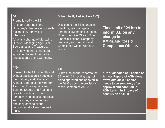| 30<br>Promptly notify the SE                                                                                                                                                                                                                                                                                                                                                                 | Schedule III, Part A, Para A (7)                                                                                                                                                                                                                   |                                                                                                                                                                                                              |
|----------------------------------------------------------------------------------------------------------------------------------------------------------------------------------------------------------------------------------------------------------------------------------------------------------------------------------------------------------------------------------------------|----------------------------------------------------------------------------------------------------------------------------------------------------------------------------------------------------------------------------------------------------|--------------------------------------------------------------------------------------------------------------------------------------------------------------------------------------------------------------|
| (a) of any change in the<br>Company's directorate by death,<br>resignation, removal or<br>otherwise;<br>(b) of any change of Managing<br>Director, Managing Agents or<br><b>Secretaries and Treasures;</b><br>(c) of any change of Auditors<br>appointed to audit the books<br>and accounts of the Company.                                                                                  | Disclose to the SE change in<br>directors, key managerial<br>personnel (Managing Director,<br><b>Chief Executive Officer, Chief</b><br><b>Financial Officer, Company</b><br>Secretary etc.), Auditor and<br>Compliance Officer within 24<br>hours. | Time limit of 24 hrs to<br>inform S.E on any<br>change in<br><b>KMPs, Auditors &amp;</b><br><b>Compliance Officer.</b>                                                                                       |
| 31(a)<br>Forward to the SE promptly and<br>without application six copies of<br>the Statutory and Directors'<br>Annual Reports along with Form<br>A or Form B, as applicable,<br><b>Balance Sheets and Profit and</b><br>Loss Accounts and of all<br>periodical and special reports as<br>soon as they are issued and<br>one copy each to all the<br>recognised stock exchanges in<br>India. | 34(1)<br>Submit the annual report to the<br>SE within 21 working days of it<br>being approved and adopted in<br>the AGM as per the provisions<br>of the Companies Act, 2013.                                                                       | * Prior dispatch of 6 copies of<br><b>Annual Report of AGM done</b><br>away with, now 6 copies<br>needs to be sent only after<br>approval and adoption in<br>AGM i.e within 21 days of<br>conclusion of AGM. |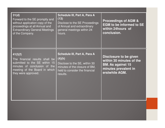| 31(d)<br>Forward to the SE promptly and<br>without application copy of the<br>proceedings at all Annual and<br><b>Extraordinary General Meetings</b><br>of the Company. | Schedule III, Part A, Para A<br>(13)<br>Disclose to the SE Proceedings<br>of Annual and extraordinary<br>general meetings within 24<br>hours.                 | <b>Proceedings of AGM &amp;</b><br><b>EGM to be informed to SE</b><br>within 24hours of<br>conclusion.                   |
|-------------------------------------------------------------------------------------------------------------------------------------------------------------------------|---------------------------------------------------------------------------------------------------------------------------------------------------------------|--------------------------------------------------------------------------------------------------------------------------|
| 41(l)(f)<br>The financial results shall be<br>submitted to the SE within 15<br>minutes of conclusion of the<br>meeting of the Board in which<br>they were approved.     | <b>Schedule III, Part A, Para A</b><br>(4)(h)<br>Disclose to the SE, within 30<br>minutes of the closure of BM,<br>held to consider the financial<br>results. | Disclosure to be given<br>within 30 minutes of the<br><b>BM. As against 15</b><br>minutes prevalent in<br>erstwhile AGM. |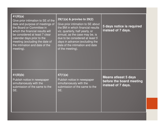| 41(III)(a)<br>Give prior intimation to SE of the<br>date and purpose of meetings of<br>the Board or Committee in<br>which the financial results will<br>be considered at least 7 clear<br>calendar days prior to the<br>meeting (excluding the date of<br>the intimation and date of the<br>meeting). | 29(1)(a) & proviso to 29(2)<br>Give prior intimation to SE about<br>the BM in which financial results<br>viz. quarterly, half yearly, or<br>annual, as the case may be, is<br>due to be considered at least 5<br>days in advance (excluding the<br>date of the intimation and date<br>of the meeting). | 5 days notice is required<br>instead of 7 days.                               |
|-------------------------------------------------------------------------------------------------------------------------------------------------------------------------------------------------------------------------------------------------------------------------------------------------------|--------------------------------------------------------------------------------------------------------------------------------------------------------------------------------------------------------------------------------------------------------------------------------------------------------|-------------------------------------------------------------------------------|
| 41(III)(b)<br>Publish notice in newspaper<br>simultanoeusly with the<br>submission of the same to the<br>SE.                                                                                                                                                                                          | 47(1)(a)<br>Publish notice in newspaper<br>simultanoeusly with the<br>submission of the same to the<br>SE.                                                                                                                                                                                             | <b>Means atleast 5 days</b><br>before the board meeting<br>instead of 7 days. |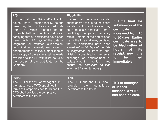#### **47(c)**

Ensure that the RTA and/or the Inhouse Share Transfer facility, as the case may be, produces <sup>a</sup> certificate from <sup>a</sup> PCS within <sup>1</sup> month of the end of each half of the financial year, certifying that all certificates have been issued within 15 days of the date of lodgment for transfer, sub-division, consolidation, renewal, exchange or endorsement of calls/allotment monies and <sup>a</sup> copy of the same shall be made available to the SE within <sup>24</sup> hours of the receipt of the certificate by theCompany.

#### **40(9)&(10)**

Ensure that the share transfer agent and/or the in-house share transfer facility, as the case may be, produces <sup>a</sup> certificate from <sup>a</sup> practicing company secretary within 1 month of the end of each half of the financial year, certifying that all certificates have been issued within <sup>30</sup> days of the date of lodgement for transfer, subdivision, consolidation, renewal, exchange or endorsement of calls/allotment monies andensure that *certificate be filed* with the SE simultaneously.

\* **Time limit for submission of thecertificate increased from 15 to 30 days Earlier certificate was to be filed within 24its hours of receipt, now it is**filed **to be immediately .**

| $49$ ( $\vert$ X)                                                                                                                                                               | 17(8)                                                                              |                                                                       |
|---------------------------------------------------------------------------------------------------------------------------------------------------------------------------------|------------------------------------------------------------------------------------|-----------------------------------------------------------------------|
| The CEO or the MD or manager or in<br>their absence, a WTD appointed in<br>terms of Companies Act, 2013 and the<br>CFO shall provide the compliance<br>certificate to the BoDs. | The CEO and the CFO shall<br>provide the<br>compliance<br>certificate to the BoDs. | "MD or manager<br>or in their<br>absence, a WTD"<br>has been deleted. |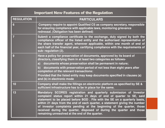#### Important New Features of the Regulation

| <b>REGULATION</b> | <b>PARTICULARS</b>                                                                                                                                                                                                                                                                                                                                                                                                                                                                                         |
|-------------------|------------------------------------------------------------------------------------------------------------------------------------------------------------------------------------------------------------------------------------------------------------------------------------------------------------------------------------------------------------------------------------------------------------------------------------------------------------------------------------------------------------|
| $6\phantom{1}$    | Company require to appoint Qualified CS as company secretary, responsible<br>for ensuring compliance with applicable laws, monitoring grievance<br>redressal. (Obligation has been defined)                                                                                                                                                                                                                                                                                                                |
| 7                 | Submit a compliance certificate to the exchange, duly signed by both the<br>compliance officer of the listed entity and the authorised representative of<br>the share transfer agent, wherever applicable, within one month of end of<br>each half of the financial year, certifying compliance with the requirements of<br>sub-regulation (2).                                                                                                                                                            |
| 9                 | Have a policy for preservation of documents, approved by its board of<br>directors, classifying them in at least two categories as follows-<br>documents whose preservation shall be permanent in nature;<br>a)<br>$\mathbf{b}$<br>documents with preservation period of not less than eight years after<br>completion of the relevant transactions:<br>Provided that the listed entity may keep documents specified in clauses (a)<br>and (b) in electronic mode                                          |
| 10                | Company shall make the fillings on electronic platform as specified by SE &<br>sufficient infrastructure has to be in place for the same.                                                                                                                                                                                                                                                                                                                                                                  |
| 13                | Mandatory SCORES registration and quarterly submission of Investor<br>complaint status report within 21 days of end of quarter to SE, said<br>statement to be placed before BOD. File with the SE on a quarterly basis,<br>within 21 days from the end of each quarter, a statement giving the number<br>of investor complaints pending at the beginning of the quarter, those<br>received during the quarter, disposed of during the quarter and those<br>remaining unresolved at the end of the quarter. |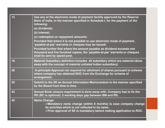| 12 | Use any of the electronic mode of payment facility approved by the Reserve<br>Bank of India, in the manner specified in Schedule I, for the payment of the<br>following:<br>(a) dividends;<br>(b) interest;<br>(c) redemption or repayment amounts:<br>Provided that where it is not possible to use electronic mode of payment,<br>'payable-at-par' warrants or cheques may be issued:<br>Provided further that where the amount payable as dividend exceeds one<br>thousand and five hundred rupees, the 'payable-at-par' warrants or cheques<br>shall be sent by speed post. |
|----|---------------------------------------------------------------------------------------------------------------------------------------------------------------------------------------------------------------------------------------------------------------------------------------------------------------------------------------------------------------------------------------------------------------------------------------------------------------------------------------------------------------------------------------------------------------------------------|
| 16 | Material Subsidiary definition includes all subsidiary which are material (done<br>away with the concept of material unlisted Indian subsidiary)                                                                                                                                                                                                                                                                                                                                                                                                                                |
| 28 | In-principle Approval not required for allotment of shares pursuant to scheme<br>where company has obtained NOC from the Exchange for scheme of<br>arrangement.                                                                                                                                                                                                                                                                                                                                                                                                                 |
| 35 | Submit to the SE an Annual Information Memorandum in the manner specified<br>by the Board from time to time.                                                                                                                                                                                                                                                                                                                                                                                                                                                                    |
| 42 | Annual Book closure requirement is done away with. Company has to fix the<br>RD (BC is optional). 5 working days gap between BM and RD.                                                                                                                                                                                                                                                                                                                                                                                                                                         |
| 45 | <b>Name Change:</b><br>$\triangleright$ Mandatory name change (within 6 months) is case company change<br>its activities which is not reflected in its name.<br>$\triangleright$ Prior approval of SE is mandatory before making application to ROC.                                                                                                                                                                                                                                                                                                                            |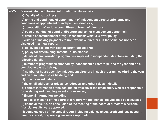| 46(2) | Disseminate the following information on its website:                                                                                            |  |
|-------|--------------------------------------------------------------------------------------------------------------------------------------------------|--|
|       | (a) Details of its business;                                                                                                                     |  |
|       | (b) terms and conditions of appointment of independent directors;(b) terms and<br>conditions of appointment of independent directors;            |  |
|       | (c) composition of various committees of board of directors;                                                                                     |  |
|       | (d) code of conduct of board of directors and senior management personnel;                                                                       |  |
|       | (e) details of establishment of vigil mechanism/ Whistle Blower policy;                                                                          |  |
|       | (f) criteria of making payments to non-executive directors, if the same has not been<br>disclosed in annual report;                              |  |
|       | (g) policy on dealing with related party transactions;                                                                                           |  |
|       | (h) policy for determining 'material' subsidiaries;                                                                                              |  |
|       | (i) details of familiarization programmes imparted to independent directors including the<br>following details:-                                 |  |
|       | (i) number of programmes attended by independent directors (during the year and on a<br>cumulative basis till date),                             |  |
|       | (ii) number of hours spent by independent directors in such programmes (during the year<br>and on cumulative basis till date), and               |  |
|       | (iii) other relevant details                                                                                                                     |  |
|       | (i) the email address for grievance redressal and other relevant details;                                                                        |  |
|       | (k) contact information of the designated officials of the listed entity who are responsible<br>for assisting and handling investor grievances;  |  |
|       | (I) financial information including:                                                                                                             |  |
|       | (i) notice of meeting of the board of directors where financial results shall be discussed;                                                      |  |
|       | (ii) financial results, on conclusion of the meeting of the board of directors where the<br>financial results were approved;                     |  |
|       | (iii) complete copy of the annual report including balance sheet, profit and loss account,<br>directors report, corporate governance report etc; |  |
|       |                                                                                                                                                  |  |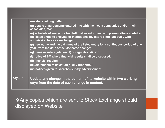|          | (m) shareholding pattern;                                                                                                                                                                         |
|----------|---------------------------------------------------------------------------------------------------------------------------------------------------------------------------------------------------|
|          | (n) details of agreements entered into with the media companies and/or their<br>associates, etc;                                                                                                  |
|          | (o) schedule of analyst or institutional investor meet and presentations made by<br>the listed entity to analysts or institutional investors simultaneously with<br>submission to stock exchange; |
|          | (p) new name and the old name of the listed entity for a continuous period of one<br>year, from the date of the last name change;                                                                 |
|          | (q) items in sub-regulation (1) of regulation 47, viz.,                                                                                                                                           |
|          | (i) notice of BM where financial results shall be discussed;                                                                                                                                      |
|          | (ii) financial results;                                                                                                                                                                           |
|          | (iii) statements of deviation(s) or variation(s);                                                                                                                                                 |
|          | (iv) notices given to shareholders by advertisement.                                                                                                                                              |
| 46(3)(b) | Update any change in the content of its website within two working<br>days from the date of such change in content.                                                                               |

-Any copies which are sent to Stock Exchange should displayed on Website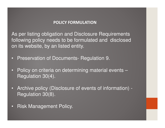#### **POLICY FORMULATION**

As per listing obligation and Disclosure Requirements following policy needs to be formulated and disclosed on its website, by an listed entity.

- •Preservation of Documents- Regulation 9.
- • Policy on criteria on determining material events –Regulation 30(4).
- • Archive policy (Disclosure of events of information) -Regulation 30(8).
- •Risk Management Policy.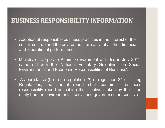### **BUSINESS RESPONSIBILITY INFORMATION**

- Adoption of responsible business practices in the interest of the social set –up and the environment are as vital as their financial and operational performance.
- Ministry of Corporate Affairs, Government of India, in July 2011, came out with the 'National Voluntary Guidelines on Social, Environmental and Economic Responsibilities of Business'.
- As per clause (f) of sub regulation (2) of regulation 34 of Listing Regulations, the annual report shall contain <sup>a</sup> business responsibility report describing the initiatives taken by the listedentity from an environmental, social and governance perspective.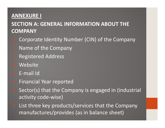#### **ANNEXURE I**

### **SECTION A: GENERAL INFORMATION ABOUT THE COMPANY**

- Corporate Identity Number (CIN) of the Company
- Name of the Company
- Registered Address
- **Website**
- E-mail Id
- Financial Year reported
- Sector(s) that the Company is engaged in (industrial activity code-wise)
- List three key products/services that the Company manufactures/provides (as in balance sheet)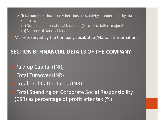$\triangleright$  Total number of locations where business activity is undertaken by the Company **Company** 

(a) Number of International Locations (Provide details of major 5)

(b) Number of National Locations

Markets served by the Company Local/State/National/International

### **SECTION B: FINANCIAL DETAILS OF THE COMPANY**

Paid up Capital (INR)

- Total Turnover (INR)
- Total profit after taxes (INR)
- Total Spending on Corporate Social Responsibility (CSR) as percentage of profit after tax (%)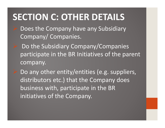# **SECTION C: OTHER DETAILS**

- Does the Company have any Subsidiary Company/ Companies.
	- Do the Subsidiary Company/Companies participate in the BR Initiatives of the parent company.

 Do any other entity/entities (e.g. suppliers, distributors etc.) that the Company does business with, participate in the BR initiatives of the Company.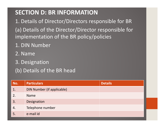## **SECTION D: BR INFORMATION**

1. Details of Director/Directors responsible for BR(a) Details of the Director/Director responsible for implementation of the BR policy/policies

- 1. DIN Number
- 2. Name
- 3. Designation
- (b) Details of the BR head

| No. | <b>Particulars</b>         | <b>Details</b> |
|-----|----------------------------|----------------|
| 1.  | DIN Number (if applicable) |                |
| 2.  | <b>Name</b>                |                |
| 3.  | Designation                |                |
| 4.  | Telephone number           |                |
| Ć.  | e-mail id                  |                |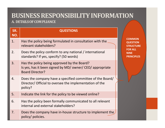## **BUSINESS RESPONSIBILITY INFORMATION**

#### **A. DETAILS OF COM PLIANCE**

| SR.<br>NO. | <b>QUESTIONS</b>                                                                                                                   |                                                  |
|------------|------------------------------------------------------------------------------------------------------------------------------------|--------------------------------------------------|
| 1.         | Has the policy being formulated in consultation with the<br>relevant stakeholders?                                                 | <b>COMMO</b><br><b>QUESTIO</b><br><b>STRUCTU</b> |
| 2.         | Does the policy conform to any national / international<br>standards? If yes, specify? (50 words)                                  | <b>FOR ALL</b><br><b>NINE</b><br><b>PRINCIPL</b> |
| 3.         | Has the policy being approved by the Board?<br>Is yes, has it been signed by MD/ owner/ CEO/ appropriate<br><b>Board Director?</b> |                                                  |
| 4.         | Does the company have a specified committee of the Board/<br>Director/ Official to oversee the implementation of the<br>policy?    |                                                  |
| 5.         | Indicate the link for the policy to be viewed online?                                                                              |                                                  |
| 6.         | Has the policy been formally communicated to all relevant<br>internal and external stakeholders?                                   |                                                  |
| 7.         | Does the company have in-house structure to implement the<br>policy/ policies.                                                     |                                                  |

**COMMON QUESTION STRUCTURE** ES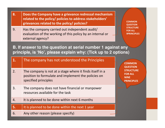- **8. Does the Company have a grievance redressal mechanism related to the policy/ policies to address stakeholders' grievances related to the policy/ policies?**
- 9. Has the company carried out independent audit/ evaluation of the working of this policy by an internal or external agency?

**COMMON QUESTION STRUCTURE FOR ALL 9PRINCIPLES**

**B. If answer to the question at serial number 1 against any principle, is 'No', please explain why: (Tick up to 2 options)** 

| 1. | The company has not understood the Principles                                                                                           | <b>COMMON</b><br><b>QUESTION</b><br><b>STRUCTURE</b><br><b>FOR ALL</b><br><b>NINE</b><br><b>PRINCIPLES</b> |
|----|-----------------------------------------------------------------------------------------------------------------------------------------|------------------------------------------------------------------------------------------------------------|
| 2. | The company is not at a stage where it finds itself in a<br>position to formulate and implement the policies on<br>specified principles |                                                                                                            |
| 3. | The company does not have financial or manpower<br>resources available for the task                                                     |                                                                                                            |
| 4. | It is planned to be done within next 6 months                                                                                           |                                                                                                            |
| 5. | It is planned to be done within the next 1 year                                                                                         |                                                                                                            |
| 6. | Any other reason (please specify)                                                                                                       |                                                                                                            |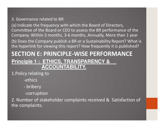#### 3. Governance related to BR

(a) Indicate the frequency with which the Board of Directors, Committee of the Board or CEO to assess the BR performance of the Company. Within 3 months, 3-6 months, Annually, More than 1 year (b) Does the Company publish a BR or a Sustainability Report? What is the hyperlink for viewing this report? How frequently it is published?

### **SECTION E: PRINCIPLE-WISE PERFORMANCE Principle 1 : ETHICS, TRANSPARENCY & ACCOUNTABILITY.**

1.Policy relating to

-ethics

- bribery
- -corruption

2. Number of stakeholder complaints received & Satisfaction of the complaints.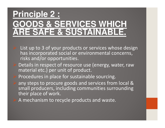# **Principle 2 : DS & SERVICES WHICH RE SAFE & SUSTAINABL**

- List up to 3 of your products or services whose design has incorporated social or environmental concerns, risks and/or opportunities.
- Details in respect of resource use (energy, water, raw material etc.) per unit of product.
- Procedures in place for sustainable sourcing.
- any steps to procure goods and services from local & small producers, including communities surrounding their place of work.
- A mechanism to recycle products and waste.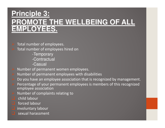# **Principle 3: PROMOTE THE WELLBEING OF ALL EMPLOYEES.**

 Total number of employees. Total number of employees hired on

-Temporary

-Contractual

-Casual

- Number of permanent women employees.
- Number of permanent employees with disabilities
- Do you have an employee association that is recognized by management.
- Percentage of your permanent employees is members of this recognized employee association
- Number of complaints relating to
- child labour

forced labour

**Q** involuntary labour

**a** sexual harassment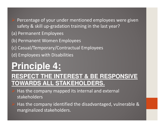Percentage of your under mentioned employees were given safety & skill up-gradation training in the last year?

#### (a) Permanent Employees

- (b) Permanent Women Employees
- (c) Casual/Temporary/Contractual Employees
- (d) Employees with Disabilities

# **Principle 4:**

## **RESPECT THE INTEREST & BE RESPONSIVE TOWARDS ALL STAKEHOLDERS.**

- Has the company mapped its internal and external stakeholders
- Has the company identified the disadvantaged, vulnerable & marginalized stakeholders.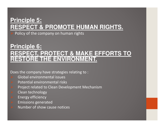### **Principle 5: RESPECT & PROMOTE HUMAN RIGHTS.**

Policy of the company on human rights

### **Principle 6: RESPECT, PROTECT & MAKE EFFORTS TO RESTORE THE ENVIRONMENT.**

Does the company have strategies relating to :

- Global environmental issues
- Potential environmental risks
- Project related to Clean Development Mechanism
- Clean technology
- Energy efficiency
- Emissions generated
- Number of show cause notices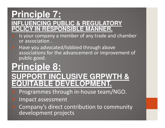## **Principle 7: INFLUENCING PUBLIC & REGULATORY PLICY IN RESPONSIBLE MANNER.**

- Is your company a member of any trade and chamber or association .
- Have you advocated/lobbied through above associations for the advancement or improvement of public good.

# **Principle 8: SUPPORT INCLUSIVE GRPWTH & EQUITABLE DEVELOPMENT**

- Programmes through in-house team/NGO.
- Impact assessment
- Company's direct contribution to community development projects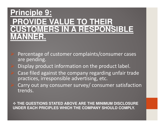# **Principle 9:PROVIDE VALUE TO THEIR CUSTOMERS IN A RESPONSIBLE MANNER.**

- Percentage of customer complaints/consumer cases are pending.
- Display product information on the product label.
- Case filed against the company regarding unfair trade practices, irresponsible advertising, etc.
- Carry out any consumer survey/ consumer satisfaction trends.

**THE QUESTIONS STATED ABOVE ARE THE MINIMUM DISCLOSURE** .<br>I INDER EACH RRICIRI ES WHICH THE COMPANY SHOLLLD COMPLY **UNDER EACH PRICIPLES WHICH THE COMPANY SHOULD COMPLY.**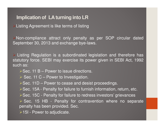#### **Implication of LA turning into LR**

**>Listing Agreement is like terms of listing** 

Non-compliance attract only penalty as per SOP circular datedSeptember 30, 2013 and exchange bye-laws.

> Listing Regulation is a subordinated legislation and therefore has statutory force. SEBI may exercise its power given in SEBI Act, 1992such as:

- $\triangleright$  Sec. 11 B Power to issue directions.
- Sec. 11 C Power to Investigation.
- $\triangleright$  Sec. 11D Power to cease and desist proceedings.
- ▶ Sec. 15A Penalty for failure to furnish information, return, etc.
- ▶ Sec. 15C Penalty for failure to redress investors' grievances
- > Sec. 15 HB Penalty for contravention where no separate penalty has been provided. Sec.

**≻15I - Power to adjudicate.**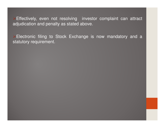Effectively, even not resolving investor complaint can attract adjudication and penalty as stated above.

Electronic filing to Stock Exchange is now mandatory and a statutory requirement.